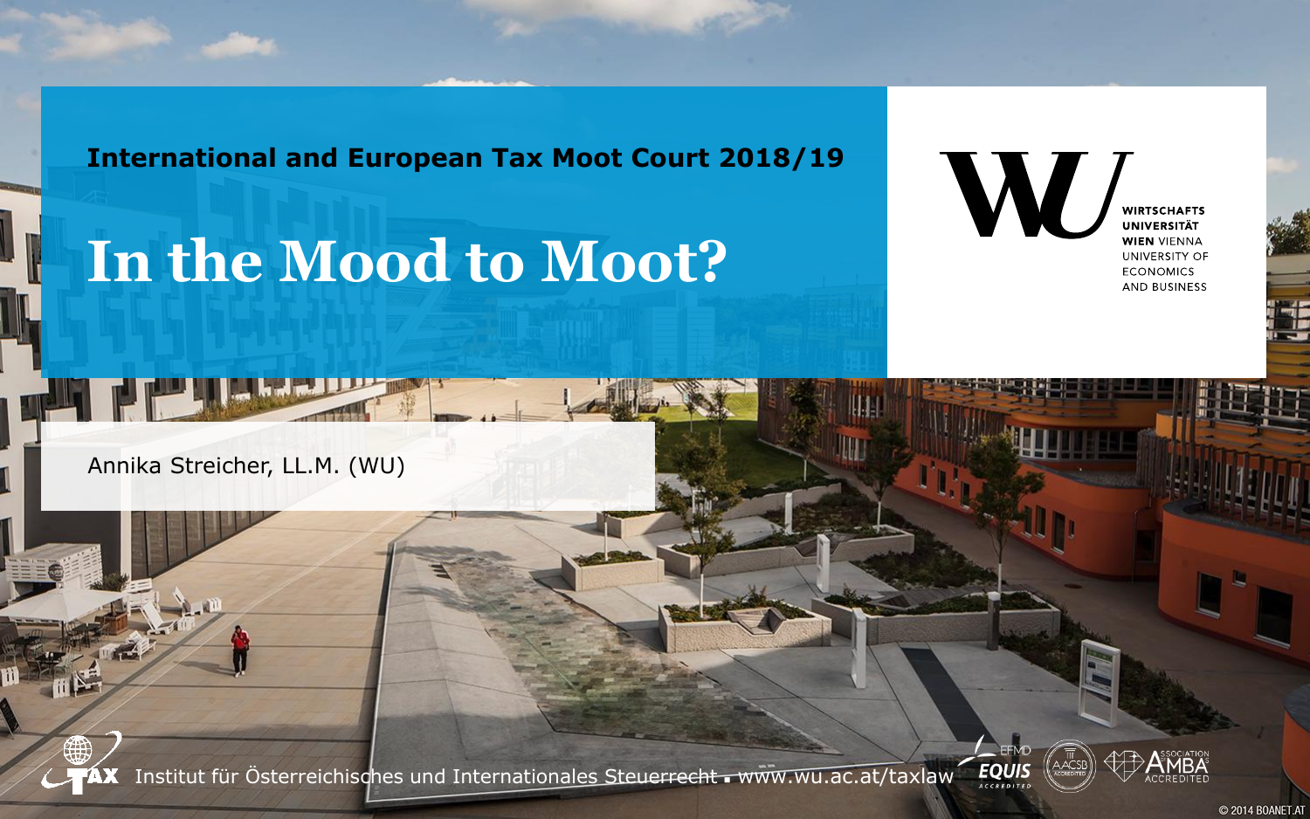**International and European Tax Moot Court 2018/19**

## **In the Mood to Moot?**

W **WIRTSCHAFTS UNIVERSITÄT WIEN VIENNA** UNIVERSITY OF **ECONOMICS** AND BUSINESS

Annika Streicher, LL.M. (WU)



Institut für Österreichisches und Internationales Steuerrecht - www.wu.ac.at/taxlaw

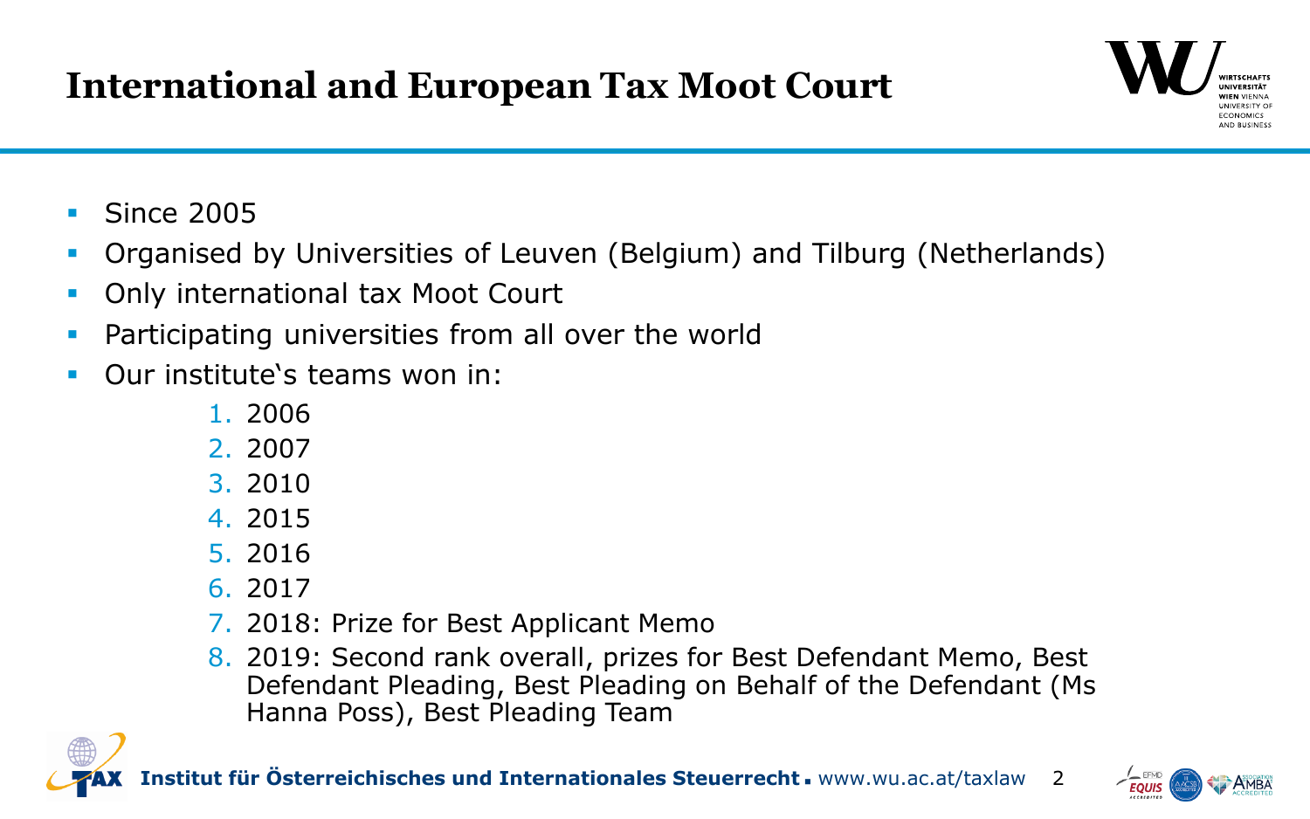## **International and European Tax Moot Court**



- Since 2005
- Organised by Universities of Leuven (Belgium) and Tilburg (Netherlands)
- Only international tax Moot Court
- Participating universities from all over the world
- Our institute's teams won in:
	- 1. 2006
	- 2. 2007
	- 3. 2010
	- 4. 2015
	- 5. 2016
	- 6. 2017
	- 7. 2018: Prize for Best Applicant Memo
	- 8. 2019: Second rank overall, prizes for Best Defendant Memo, Best Defendant Pleading, Best Pleading on Behalf of the Defendant (Ms Hanna Poss), Best Pleading Team





2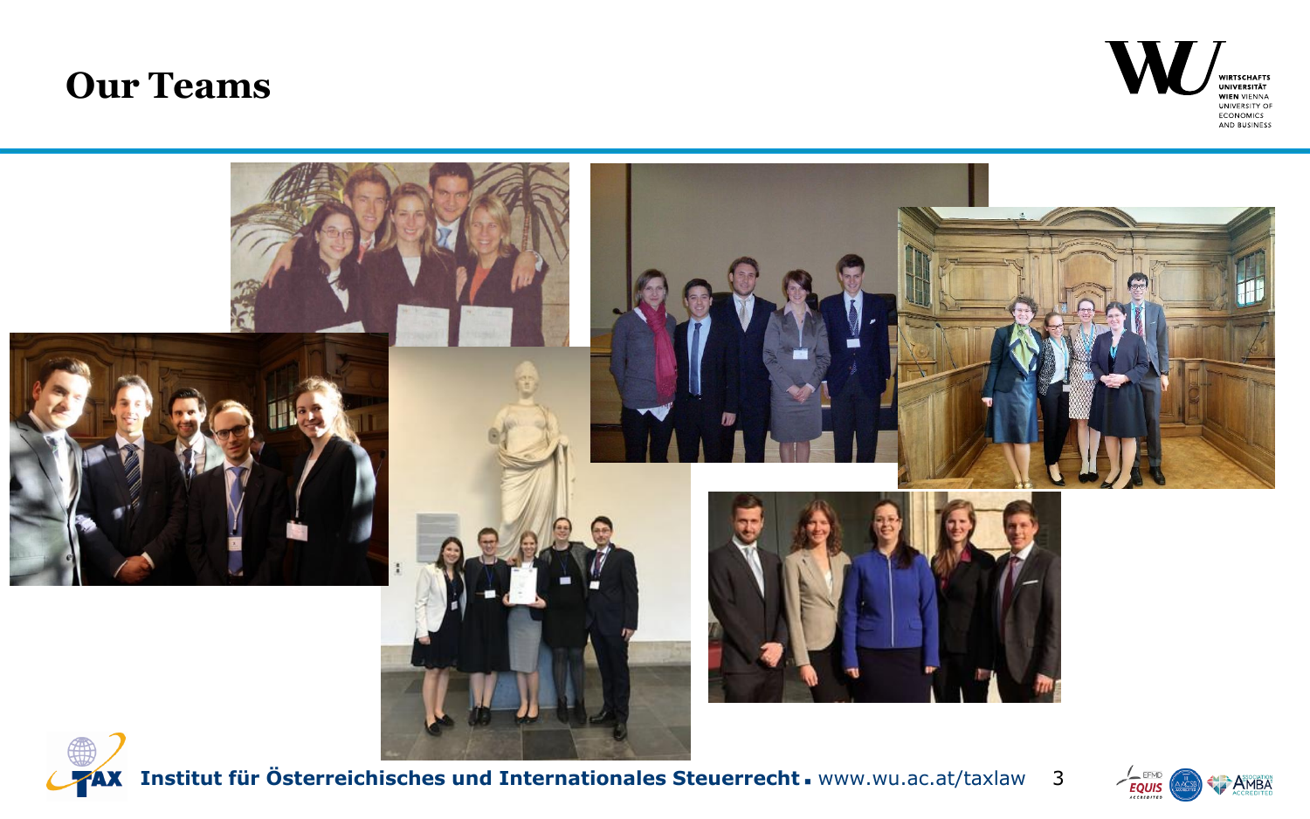## **Our Teams**





**Institut für Österreichisches und Internationales Steuerrecht** www.wu.ac.at/taxlaw 3

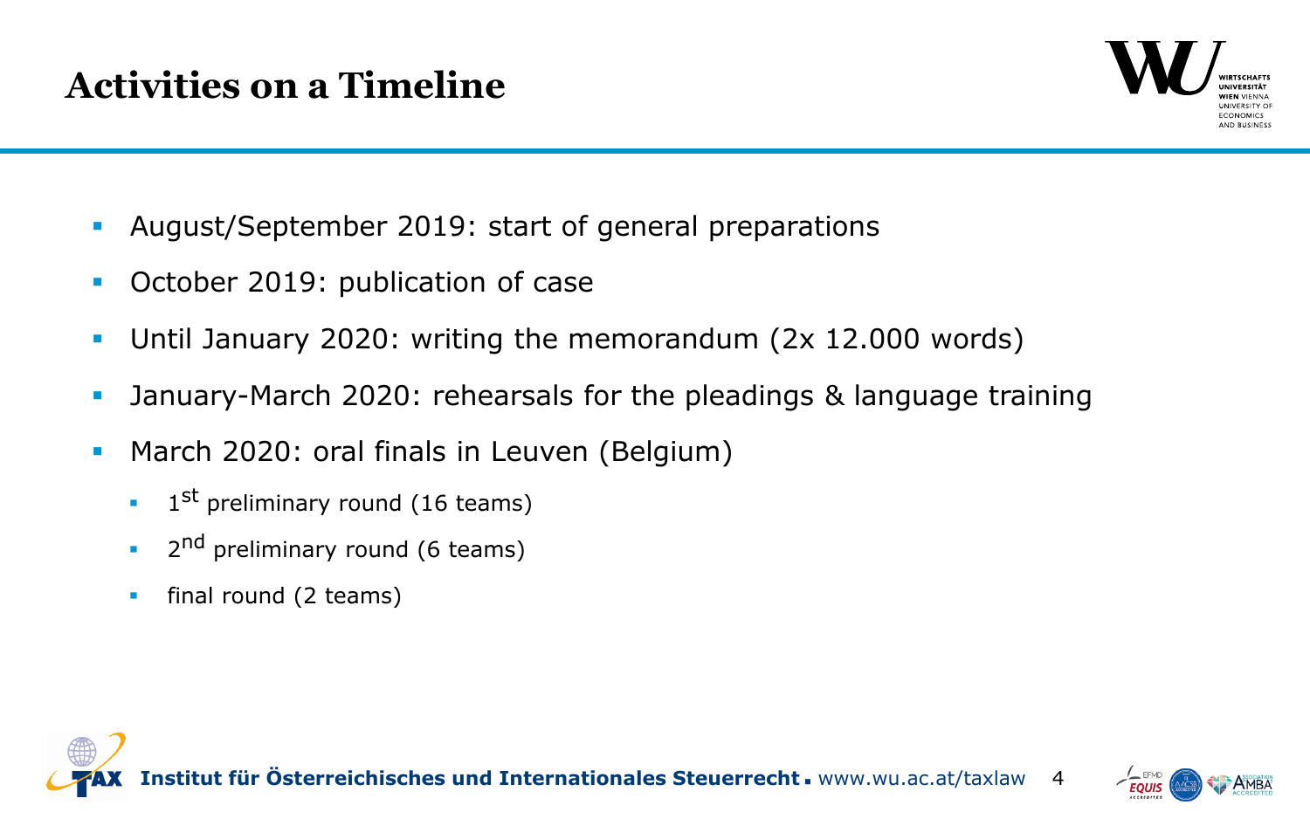

- August/September 2019: start of general preparations
- **October 2019: publication of case**
- Until January 2020: writing the memorandum (2x 12.000 words)
- January-March 2020: rehearsals for the pleadings & language training
- **March 2020: oral finals in Leuven (Belgium)** 
	- $\blacksquare$  1<sup>st</sup> preliminary round (16 teams)
	- <sup>2nd</sup> preliminary round (6 teams)
	- **final round (2 teams)**